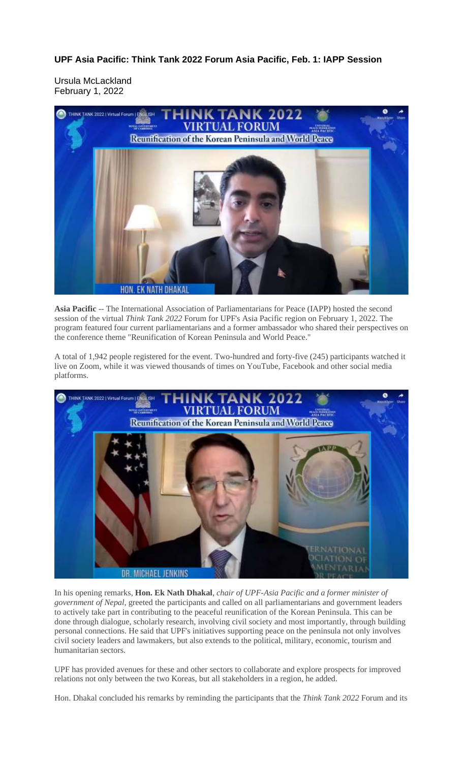**UPF Asia Pacific: Think Tank 2022 Forum Asia Pacific, Feb. 1: IAPP Session**

Ursula McLackland February 1, 2022



**Asia Pacific** -- The International Association of Parliamentarians for Peace (IAPP) hosted the second session of the virtual *Think Tank 2022* Forum for UPF's Asia Pacific region on February 1, 2022. The program featured four current parliamentarians and a former ambassador who shared their perspectives on the conference theme "Reunification of Korean Peninsula and World Peace."

A total of 1,942 people registered for the event. Two-hundred and forty-five (245) participants watched it live on Zoom, while it was viewed thousands of times on YouTube, Facebook and other social media platforms.



In his opening remarks, **Hon. Ek Nath Dhakal**, *chair of UPF-Asia Pacific and a former minister of government of Nepal,* greeted the participants and called on all parliamentarians and government leaders to actively take part in contributing to the peaceful reunification of the Korean Peninsula. This can be done through dialogue, scholarly research, involving civil society and most importantly, through building personal connections. He said that UPF's initiatives supporting peace on the peninsula not only involves civil society leaders and lawmakers, but also extends to the political, military, economic, tourism and humanitarian sectors.

UPF has provided avenues for these and other sectors to collaborate and explore prospects for improved relations not only between the two Koreas, but all stakeholders in a region, he added.

Hon. Dhakal concluded his remarks by reminding the participants that the *Think Tank 2022* Forum and its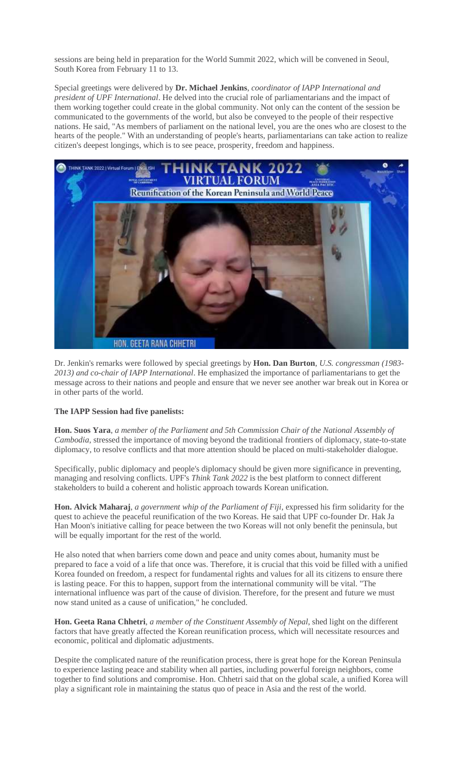sessions are being held in preparation for the World Summit 2022, which will be convened in Seoul, South Korea from February 11 to 13.

Special greetings were delivered by **Dr. Michael Jenkins**, *coordinator of IAPP International and president of UPF International*. He delved into the crucial role of parliamentarians and the impact of them working together could create in the global community. Not only can the content of the session be communicated to the governments of the world, but also be conveyed to the people of their respective nations. He said, "As members of parliament on the national level, you are the ones who are closest to the hearts of the people." With an understanding of people's hearts, parliamentarians can take action to realize citizen's deepest longings, which is to see peace, prosperity, freedom and happiness.



Dr. Jenkin's remarks were followed by special greetings by **Hon. Dan Burton**, *U.S. congressman (1983- 2013) and co-chair of IAPP International*. He emphasized the importance of parliamentarians to get the message across to their nations and people and ensure that we never see another war break out in Korea or in other parts of the world.

## **The IAPP Session had five panelists:**

**Hon. Suos Yara**, *a member of the Parliament and 5th Commission Chair of the National Assembly of Cambodia*, stressed the importance of moving beyond the traditional frontiers of diplomacy, state-to-state diplomacy, to resolve conflicts and that more attention should be placed on multi-stakeholder dialogue.

Specifically, public diplomacy and people's diplomacy should be given more significance in preventing, managing and resolving conflicts. UPF's *Think Tank 2022* is the best platform to connect different stakeholders to build a coherent and holistic approach towards Korean unification.

**Hon. Alvick Maharaj**, *a government whip of the Parliament of Fiji*, expressed his firm solidarity for the quest to achieve the peaceful reunification of the two Koreas. He said that UPF co-founder Dr. Hak Ja Han Moon's initiative calling for peace between the two Koreas will not only benefit the peninsula, but will be equally important for the rest of the world.

He also noted that when barriers come down and peace and unity comes about, humanity must be prepared to face a void of a life that once was. Therefore, it is crucial that this void be filled with a unified Korea founded on freedom, a respect for fundamental rights and values for all its citizens to ensure there is lasting peace. For this to happen, support from the international community will be vital. "The international influence was part of the cause of division. Therefore, for the present and future we must now stand united as a cause of unification," he concluded.

**Hon. Geeta Rana Chhetri**, *a member of the Constituent Assembly of Nepal*, shed light on the different factors that have greatly affected the Korean reunification process, which will necessitate resources and economic, political and diplomatic adjustments.

Despite the complicated nature of the reunification process, there is great hope for the Korean Peninsula to experience lasting peace and stability when all parties, including powerful foreign neighbors, come together to find solutions and compromise. Hon. Chhetri said that on the global scale, a unified Korea will play a significant role in maintaining the status quo of peace in Asia and the rest of the world.